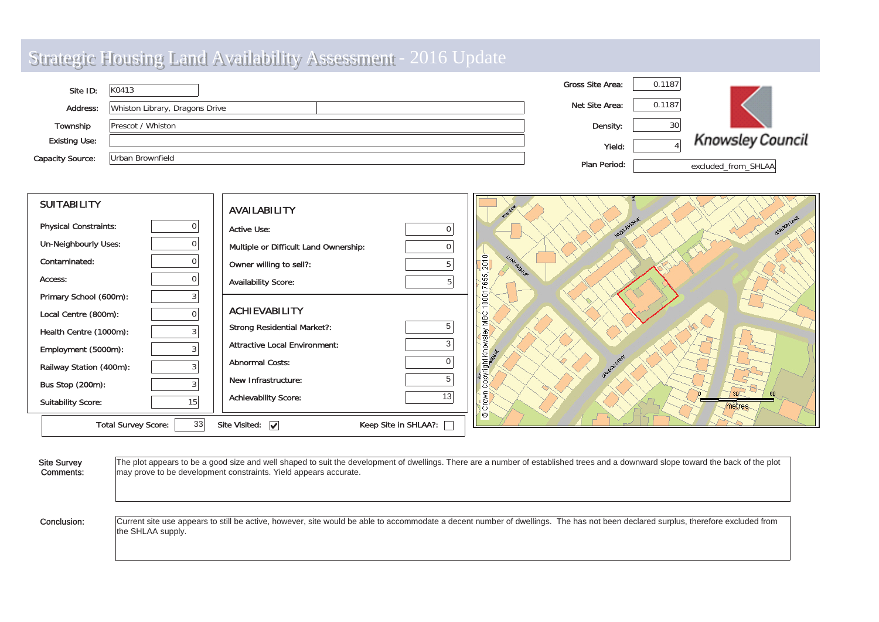| Site ID:                | K0413                          | <b>Gross Site Area:</b> | 0.1187 |                         |
|-------------------------|--------------------------------|-------------------------|--------|-------------------------|
| Address:                | Whiston Library, Dragons Drive | Net Site Area:          | 0.1187 |                         |
| Township                | Prescot / Whiston              | Density:                | 30     |                         |
| <b>Existing Use:</b>    |                                | Yield:                  |        | <b>Knowsley Council</b> |
| <b>Capacity Source:</b> | Urban Brownfield               | Plan Period:            |        | excluded from SHLAA     |

| <b>SUITABILITY</b>           |    | <b>AVAILABILITY</b>                   |                        |                                                  |
|------------------------------|----|---------------------------------------|------------------------|--------------------------------------------------|
| <b>Physical Constraints:</b> |    | <b>Active Use:</b>                    | $\Omega$               | angov Lave<br>WERKWERE                           |
| <b>Un-Neighbourly Uses:</b>  |    | Multiple or Difficult Land Ownership: | $\Omega$               |                                                  |
| Contaminated:                |    | Owner willing to sell?:               | 5                      | $\circ$<br><b>LUNT AUGALIA</b><br>$\overline{a}$ |
| Access:                      |    | <b>Availability Score:</b>            |                        | <b>LO</b><br><b>In</b>                           |
| Primary School (600m):       |    |                                       |                        | $\Box$                                           |
| Local Centre (800m):         | 0  | <b>ACHIEVABILITY</b>                  |                        | $\omega$                                         |
| Health Centre (1000m):       | 3  | <b>Strong Residential Market?:</b>    |                        |                                                  |
| Employment (5000m):          | 3  | <b>Attractive Local Environment:</b>  | 3                      |                                                  |
| Railway Station (400m):      |    | <b>Abnormal Costs:</b>                |                        | copyright Know                                   |
| Bus Stop (200m):             |    | New Infrastructure:                   | 5                      | $\circ$                                          |
| <b>Suitability Score:</b>    | 15 | <b>Achievability Score:</b>           | 13                     | Ξ<br>metres.<br>$\circ$                          |
| <b>Total Survey Score:</b>   | 33 | Site Visited: $\boxed{\checkmark}$    | Keep Site in SHLAA?: [ | $\circ$                                          |

Site Survey Com ments: The plot appears to be a good size and well shaped to suit the development of dwellings. There are a number of established trees and a downward slope toward the back of the plot may prove to be development constraints. Yield appears accurate. Conclusion: Current site use appears to still be active, however, site would be able to accommodate a decent number of dwellings. The has not been declared surplus, therefore excluded from the SHLAA supply.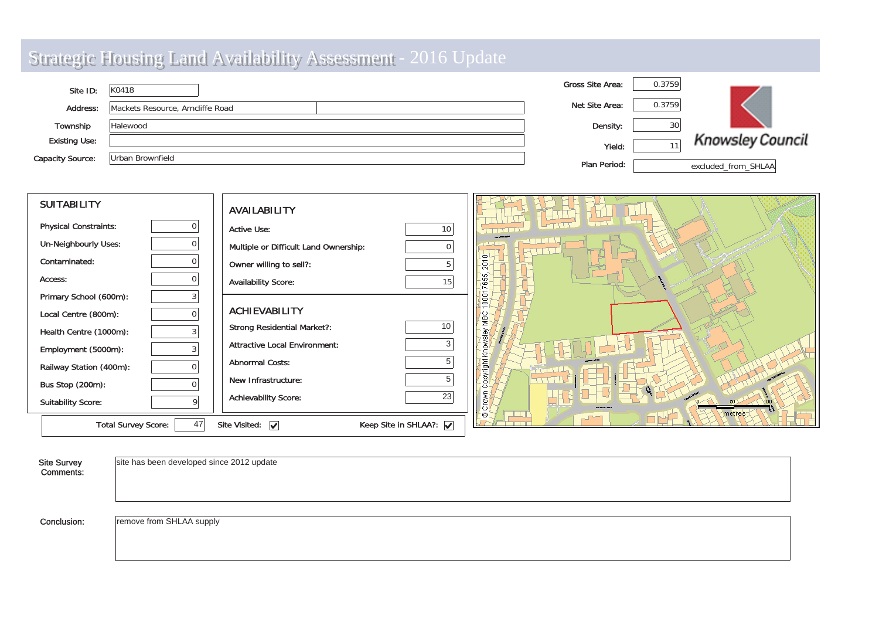| Site ID:                | K0418                            | <b>Gross Site Area:</b> | 0.3759 |                         |
|-------------------------|----------------------------------|-------------------------|--------|-------------------------|
| Address:                | Mackets Resource, Arncliffe Road | Net Site Area:          | 0.3759 |                         |
| Township                | Halewood                         | Density:                | 30     |                         |
| <b>Existing Use:</b>    |                                  | Yield:                  |        | <b>Knowsley Council</b> |
| <b>Capacity Source:</b> | Urban Brownfield                 | Plan Period:            |        | excluded from SHLAA     |

| <b>SUITABILITY</b>               | <b>AVAILABILITY</b>                                                             |                    |
|----------------------------------|---------------------------------------------------------------------------------|--------------------|
| <b>Physical Constraints:</b>     | <b>Active Use:</b><br>10                                                        | أتتت               |
| Un-Neighbourly Uses:             | Multiple or Difficult Land Ownership:                                           |                    |
| Contaminated:<br>$\Omega$        | Owner willing to sell?:                                                         | $\circ$<br>$\circ$ |
| Access:<br>$\Omega$              | <b>Availability Score:</b><br>15                                                | 5                  |
| Primary School (600m):           |                                                                                 |                    |
| Local Centre (800m):<br>$\Omega$ | <b>ACHIEVABILITY</b>                                                            |                    |
| Health Centre (1000m):           | 10<br><b>Strong Residential Market?:</b>                                        |                    |
| Employment (5000m):<br>3         | <b>Attractive Local Environment:</b><br>3                                       |                    |
| Railway Station (400m):          | <b>Abnormal Costs:</b>                                                          | 틞                  |
| Bus Stop (200m):<br>$\cap$       | New Infrastructure:                                                             | ┯┯╷╷╷              |
| <b>Suitability Score:</b>        | 23<br><b>Achievability Score:</b>                                               | metres             |
| 47<br><b>Total Survey Score:</b> | Keep Site in SHLAA?: $\boxed{\checkmark}$<br>Site Visited: $\boxed{\checkmark}$ | 0                  |

| Site Survey<br>Comments: | site has been developed since 2012 update |
|--------------------------|-------------------------------------------|
| Conclusion:              | remove from SHLAA supply                  |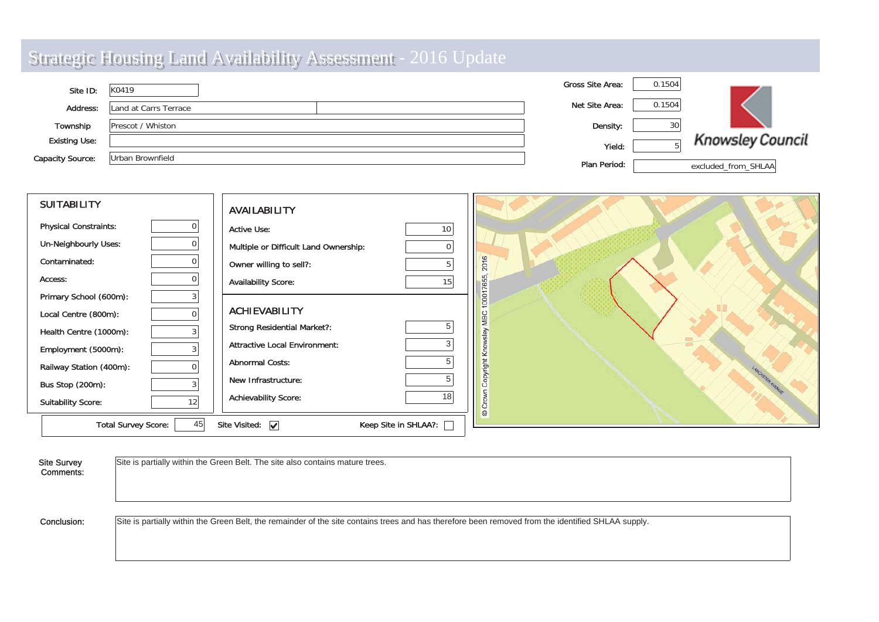| Site ID:                | K0419                 | <b>Gross Site Area:</b> | 0.1504 |                         |
|-------------------------|-----------------------|-------------------------|--------|-------------------------|
| Address:                | Land at Carrs Terrace | Net Site Area:          | 0.1504 |                         |
| Township                | Prescot / Whiston     | Density:                | 30     |                         |
| <b>Existing Use:</b>    |                       | Yield:                  |        | <b>Knowsley Council</b> |
| <b>Capacity Source:</b> | Urban Brownfield      | Plan Period:            |        | excluded from SHLAA     |

| <b>SUITABILITY</b>               | <b>AVAILABILITY</b>                                        |                                    |
|----------------------------------|------------------------------------------------------------|------------------------------------|
| <b>Physical Constraints:</b>     | <b>Active Use:</b><br>10                                   |                                    |
| Un-Neighbourly Uses:             | Multiple or Difficult Land Ownership:<br>$\overline{0}$    |                                    |
| Contaminated:                    | Owner willing to sell?:                                    | f6<br>$\overline{8}$               |
| Access:                          | <b>Availability Score:</b><br>15 <sup>1</sup>              | 765                                |
| Primary School (600m):           |                                                            | 000                                |
| Local Centre (800m):             | <b>ACHIEVABILITY</b>                                       | MBC                                |
| Health Centre (1000m):           | <b>Strong Residential Market?:</b>                         | kels                               |
| Employment (5000m):              | <b>Attractive Local Environment:</b>                       | kn                                 |
| Railway Station (400m):          | <b>Abnormal Costs:</b>                                     | right                              |
| Bus Stop (200m):                 | New Infrastructure:                                        | LANCASTER AVENUE<br>opy<br>$\circ$ |
| 12<br><b>Suitability Score:</b>  | <b>Achievability Score:</b><br>181                         | <b>NO</b><br>$\circ$<br>$\circ$    |
| 45<br><b>Total Survey Score:</b> | Keep Site in SHLAA?:<br>Site Visited: $\boxed{\checkmark}$ |                                    |

| Site Survey<br>Comments: | Site is partially within the Green Belt. The site also contains mature trees.                                                                      |
|--------------------------|----------------------------------------------------------------------------------------------------------------------------------------------------|
| Conclusion:              | Site is partially within the Green Belt, the remainder of the site contains trees and has therefore been removed from the identified SHLAA supply. |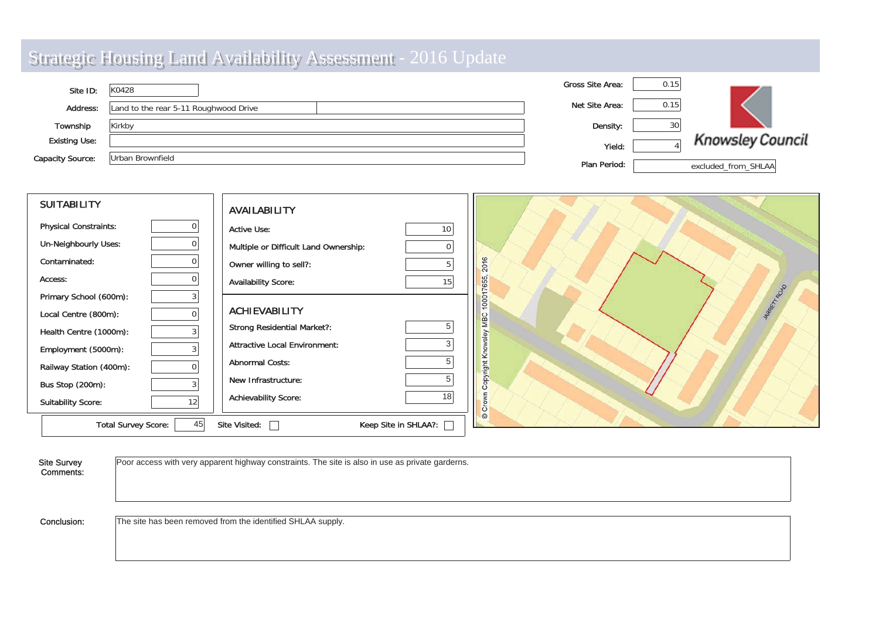| Site ID:                | K0428                                 | <b>Gross Site Area:</b> | 0.15 |                         |
|-------------------------|---------------------------------------|-------------------------|------|-------------------------|
| <b>Address:</b>         | Land to the rear 5-11 Roughwood Drive | Net Site Area:          | 0.15 |                         |
| Township                | Kirkby                                | Density:                | 30   |                         |
| <b>Existing Use:</b>    |                                       | Yield:                  |      | <b>Knowsley Council</b> |
| <b>Capacity Source:</b> | Urban Brownfield                      | Plan Period:            |      | excluded from SHLAA     |

| <b>SUITABILITY</b>           |                | <b>AVAILABILITY</b>                   |                      |                      |
|------------------------------|----------------|---------------------------------------|----------------------|----------------------|
| <b>Physical Constraints:</b> |                | <b>Active Use:</b>                    | 10 <sub>1</sub>      |                      |
| <b>Un-Neighbourly Uses:</b>  |                | Multiple or Difficult Land Ownership: | $\overline{0}$       |                      |
| Contaminated:                | 0              | Owner willing to sell?:               |                      | 16<br>$\overline{c}$ |
| Access:                      | 01             | <b>Availability Score:</b>            | 15                   | 655                  |
| Primary School (600m):       | 3              |                                       |                      | MARKTT POU<br>100    |
| Local Centre (800m):         | $\overline{0}$ | <b>ACHIEVABILITY</b>                  |                      | MBC                  |
| Health Centre (1000m):       | ς              | <b>Strong Residential Market?:</b>    |                      | sley                 |
| Employment (5000m):          |                | <b>Attractive Local Environment:</b>  | 3                    | Υć                   |
| Railway Station (400m):      |                | <b>Abnormal Costs:</b>                |                      | opyright             |
| Bus Stop (200m):             |                | New Infrastructure:                   |                      | $\circ$              |
| <b>Suitability Score:</b>    | 12             | <b>Achievability Score:</b>           | 18                   | $\circ$<br>ŏ         |
| <b>Total Survey Score:</b>   | 45             | Site Visited:                         | Keep Site in SHLAA?: | $\odot$              |

| <b>Site Survey</b><br>Comments: | Poor access with very apparent highway constraints. The site is also in use as private garderns. |
|---------------------------------|--------------------------------------------------------------------------------------------------|
| Conclusion:                     | The site has been removed from the identified SHLAA supply.                                      |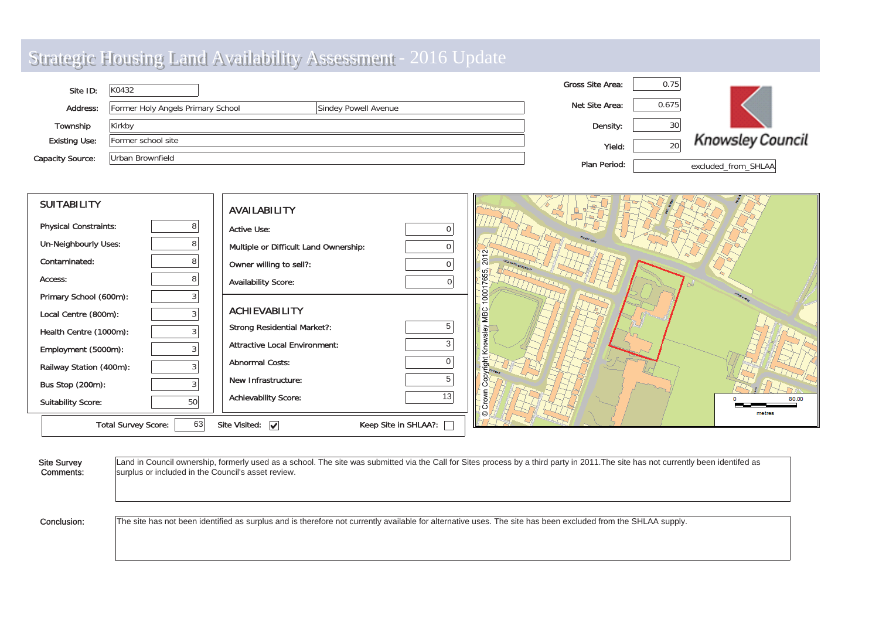| <b>Strategic Housing Land Availability Assessment - 2016</b> |  |
|--------------------------------------------------------------|--|
|--------------------------------------------------------------|--|

| Site ID:                | K0432                                                     | <b>Gross Site Area:</b> | 0.75  |                         |
|-------------------------|-----------------------------------------------------------|-------------------------|-------|-------------------------|
| <b>Address:</b>         | Former Holy Angels Primary School<br>Sindey Powell Avenue | Net Site Area:          | 0.675 |                         |
| Township                | Kirkby                                                    | Density:                | 30    |                         |
| <b>Existing Use:</b>    | Former school site                                        | Yield:                  | 20    | <b>Knowsley Council</b> |
| <b>Capacity Source:</b> | Urban Brownfield                                          | Plan Period:            |       | excluded from SHLAA     |

| <b>SUITABILITY</b>           |    | <b>AVAILABILITY</b>                   |                      |                 |
|------------------------------|----|---------------------------------------|----------------------|-----------------|
| <b>Physical Constraints:</b> | 8  | <b>Active Use:</b>                    |                      |                 |
| <b>Un-Neighbourly Uses:</b>  |    | Multiple or Difficult Land Ownership: | 0                    |                 |
| Contaminated:                |    | Owner willing to sell?:               |                      |                 |
| Access:                      |    | <b>Availability Score:</b>            |                      |                 |
| Primary School (600m):       |    |                                       |                      | Θ               |
| Local Centre (800m):         |    | <b>ACHIEVABILITY</b>                  |                      |                 |
| Health Centre (1000m):       |    | <b>Strong Residential Market?:</b>    | 5                    |                 |
| Employment (5000m):          |    | <b>Attractive Local Environment:</b>  |                      |                 |
| Railway Station (400m):      |    | <b>Abnormal Costs:</b>                |                      |                 |
| Bus Stop (200m):             |    | New Infrastructure:                   |                      |                 |
| <b>Suitability Score:</b>    | 50 | <b>Achievability Score:</b>           | 13                   | 80.00<br>metres |
| <b>Total Survey Score:</b>   | 63 | Site Visited: $\boxed{\checkmark}$    | Keep Site in SHLAA?: |                 |

Site Survey Com ments: Land in Council ownership, formerly used as a school. The site was submitted via the Call for Sites process by a third party in 2011. The site has not currently been identifed as surplus or included in the Council's asset review. Conclusion:The site has not been identified as surplus and is therefore not currently available for alternative uses. The site has been excluded from the SHLAA supply.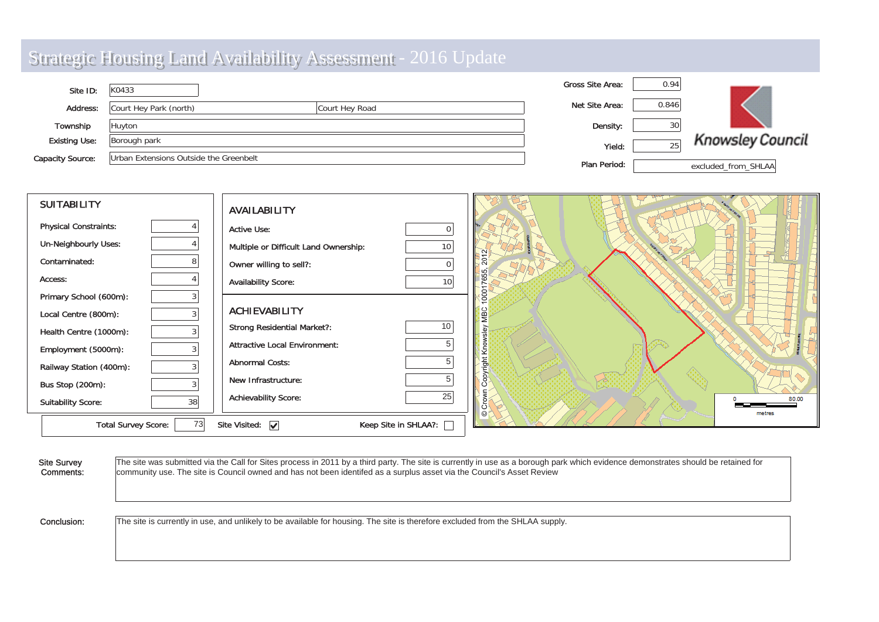| Site ID:                | K0433                                  |                | <b>Gross Site Area:</b> | 0.94  |                         |
|-------------------------|----------------------------------------|----------------|-------------------------|-------|-------------------------|
| <b>Address:</b>         | Court Hey Park (north)                 | Court Hey Road | Net Site Area:          | 0.846 |                         |
| Township                | Huyton                                 |                | Density:                | 30    |                         |
| <b>Existing Use:</b>    | Borough park                           |                | Yield:                  | っに    | <b>Knowsley Council</b> |
| <b>Capacity Source:</b> | Urban Extensions Outside the Greenbelt |                | Plan Period:            |       | excluded_from_SHLAA     |

| <b>SUITABILITY</b>           |    | <b>AVAILABILITY</b>                   |                      |               |                 |
|------------------------------|----|---------------------------------------|----------------------|---------------|-----------------|
| <b>Physical Constraints:</b> |    | <b>Active Use:</b>                    | $\Omega$             |               |                 |
| Un-Neighbourly Uses:         |    | Multiple or Difficult Land Ownership: | 10                   |               |                 |
| Contaminated:                |    | Owner willing to sell?:               |                      | 20            |                 |
| Access:                      |    | <b>Availability Score:</b>            | 10                   | 65            |                 |
| Primary School (600m):       |    |                                       |                      | $\frac{1}{2}$ |                 |
| Local Centre (800m):         |    | <b>ACHIEVABILITY</b>                  |                      | MBC           |                 |
| Health Centre (1000m):       |    | <b>Strong Residential Market?:</b>    | 10                   | ق             |                 |
| Employment (5000m):          |    | <b>Attractive Local Environment:</b>  |                      | Kno           |                 |
| Railway Station (400m):      |    | <b>Abnormal Costs:</b>                |                      | right         |                 |
| Bus Stop (200m):             |    | New Infrastructure:                   |                      | $\circ$       |                 |
| <b>Suitability Score:</b>    | 38 | <b>Achievability Score:</b>           | 25                   |               | 80.00<br>metres |
| <b>Total Survey Score:</b>   | 73 | Site Visited: $\boxed{\checkmark}$    | Keep Site in SHLAA?: |               |                 |

| <b>Site Survey</b> | The site was submitted via the Call for Sites process in 2011 by a third party. The site is currently in use as a borough park which evidence demonstrates should be retained for |
|--------------------|-----------------------------------------------------------------------------------------------------------------------------------------------------------------------------------|
| Comments:          | community use. The site is Council owned and has not been identifed as a surplus asset via the Council's Asset Review                                                             |
| Conclusion:        | The site is currently in use, and unlikely to be available for housing. The site is therefore excluded from the SHLAA supply.                                                     |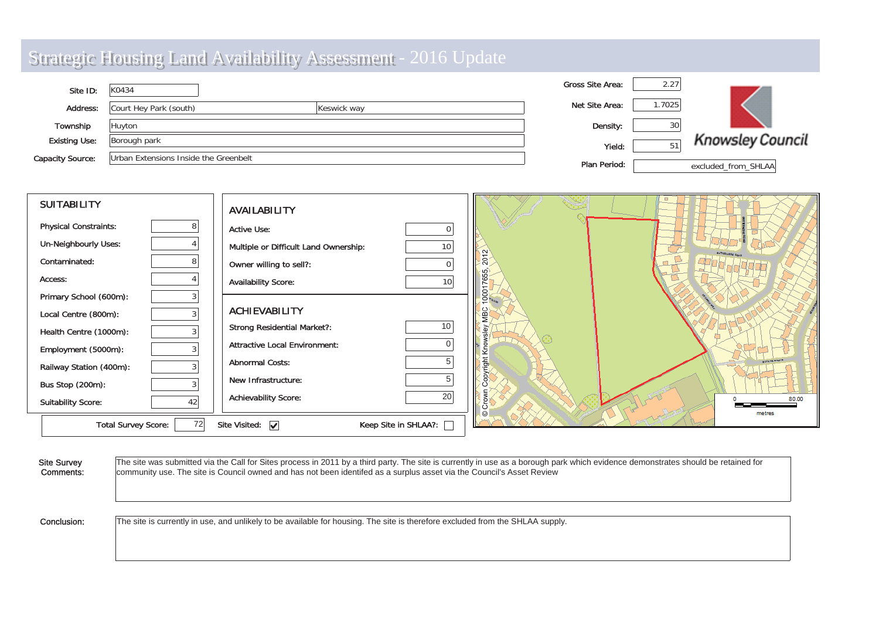| Site ID:                | K0434                                 |             | <b>Gross Site Area:</b> | 2.27  |                         |
|-------------------------|---------------------------------------|-------------|-------------------------|-------|-------------------------|
| Address:                | Court Hey Park (south)                | Keswick way | Net Site Area:          | .7025 |                         |
| Township                | Huyton                                |             | Density:                | 30    |                         |
| <b>Existing Use:</b>    | Borough park                          |             | Yield:                  | 51    | <b>Knowsley Council</b> |
| <b>Capacity Source:</b> | Urban Extensions Inside the Greenbelt |             | Plan Period:            |       | excluded from SHLAA     |

| <b>SUITABILITY</b>           |    | <b>AVAILABILITY</b>                   |                      |                           |                        |
|------------------------------|----|---------------------------------------|----------------------|---------------------------|------------------------|
| <b>Physical Constraints:</b> |    | <b>Active Use:</b>                    |                      |                           |                        |
| <b>Un-Neighbourly Uses:</b>  |    | Multiple or Difficult Land Ownership: | 10                   | $\tilde{c}$               |                        |
| Contaminated:                |    | Owner willing to sell?:               |                      | $\overline{20}$           |                        |
| Access:                      |    | <b>Availability Score:</b>            |                      | 5<br>LC<br>$\overline{c}$ |                        |
| Primary School (600m):       |    |                                       |                      | ō١                        |                        |
| Local Centre (800m):         |    | <b>ACHIEVABILITY</b>                  |                      | ğ                         |                        |
| Health Centre (1000m):       |    | <b>Strong Residential Market?:</b>    | 10                   |                           |                        |
| Employment (5000m):          |    | <b>Attractive Local Environment:</b>  |                      |                           |                        |
| Railway Station (400m):      |    | <b>Abnormal Costs:</b>                |                      | ight                      | <b>COVE NO. 0 KOVI</b> |
| Bus Stop (200m):             |    | New Infrastructure:                   |                      |                           |                        |
| <b>Suitability Score:</b>    | 42 | <b>Achievability Score:</b>           | 20                   |                           | 80.00<br>metres        |
| <b>Total Survey Score:</b>   | 72 | Site Visited: $\sqrt{}$               | Keep Site in SHLAA?: |                           |                        |

| <b>Site Survey</b> | The site was submitted via the Call for Sites process in 2011 by a third party. The site is currently in use as a borough park which evidence demonstrates should be retained for |
|--------------------|-----------------------------------------------------------------------------------------------------------------------------------------------------------------------------------|
| Comments:          | community use. The site is Council owned and has not been identifed as a surplus asset via the Council's Asset Review                                                             |
| Conclusion:        | The site is currently in use, and unlikely to be available for housing. The site is therefore excluded from the SHLAA supply.                                                     |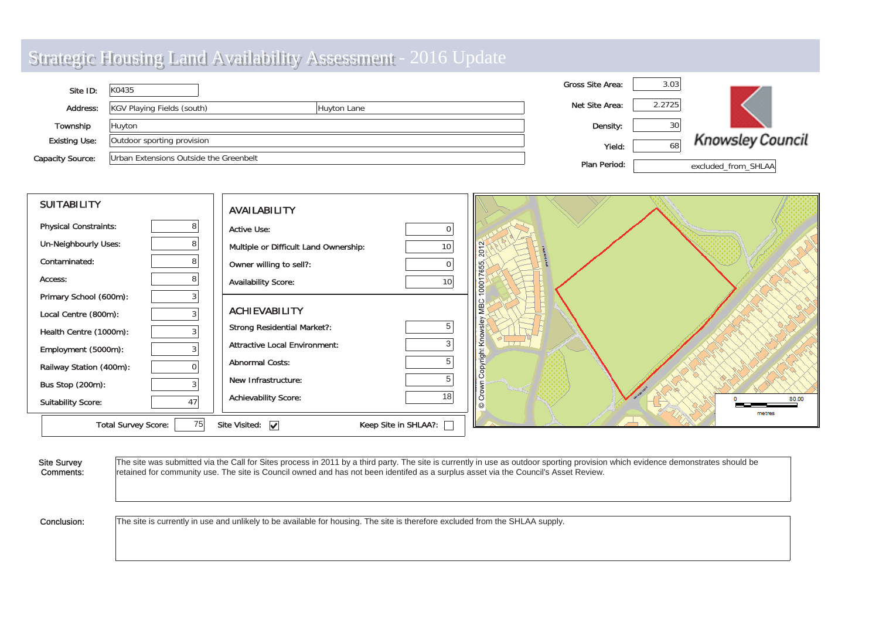|                         | <b>Strategic Housing Land Availability Assessment - 2016 Update</b> |             |                         |        |                         |
|-------------------------|---------------------------------------------------------------------|-------------|-------------------------|--------|-------------------------|
| Site ID:                | K0435                                                               |             | <b>Gross Site Area:</b> | 3.03   |                         |
| Address:                | KGV Playing Fields (south)                                          | Huyton Lane | Net Site Area:          | 2.2725 |                         |
| Township                | Huyton                                                              |             | Density:                | 30     |                         |
| <b>Existing Use:</b>    | Outdoor sporting provision                                          |             | Yield:                  | 68     | <b>Knowsley Council</b> |
| <b>Capacity Source:</b> | Urban Extensions Outside the Greenbelt                              |             | Plan Period:            |        | excluded_from_SHLAA     |
|                         |                                                                     |             |                         |        |                         |

| <b>SUITABILITY</b>                | <b>AVAILABILITY</b>                                           |                         |
|-----------------------------------|---------------------------------------------------------------|-------------------------|
| <b>Physical Constraints:</b><br>8 | <b>Active Use:</b>                                            |                         |
| Un-Neighbourly Uses:              | Multiple or Difficult Land Ownership:<br>10 <sup>1</sup>      | $\frac{2012}{2012}$     |
| Contaminated:                     | Owner willing to sell?:                                       | <b>B</b>                |
| Access:<br>8                      | <b>Availability Score:</b><br>10                              | co<br>800               |
| Primary School (600m):            |                                                               |                         |
| Local Centre (800m):              | <b>ACHIEVABILITY</b>                                          | ι⊜                      |
| Health Centre (1000m):            | 5<br><b>Strong Residential Market?:</b>                       |                         |
| Employment (5000m):               | <b>Attractive Local Environment:</b><br>3                     | 조<br>$\overline{11}$    |
| Railway Station (400m):           | <b>Abnormal Costs:</b>                                        |                         |
| Bus Stop (200m):                  | New Infrastructure:                                           |                         |
| <b>Suitability Score:</b><br>47   | 18<br><b>Achievability Score:</b>                             | li 8<br>80.00<br>metres |
| 75<br><b>Total Survey Score:</b>  | Site Visited: $\overline{\mathbf{v}}$<br>Keep Site in SHLAA?: |                         |

| <b>Site Survey</b> | The site was submitted via the Call for Sites process in 2011 by a third party. The site is currently in use as outdoor sporting provision which evidence demonstrates should be |
|--------------------|----------------------------------------------------------------------------------------------------------------------------------------------------------------------------------|
| Comments:          | retained for community use. The site is Council owned and has not been identifed as a surplus asset via the Council's Asset Review.                                              |
| Conclusion:        | The site is currently in use and unlikely to be available for housing. The site is therefore excluded from the SHLAA supply.                                                     |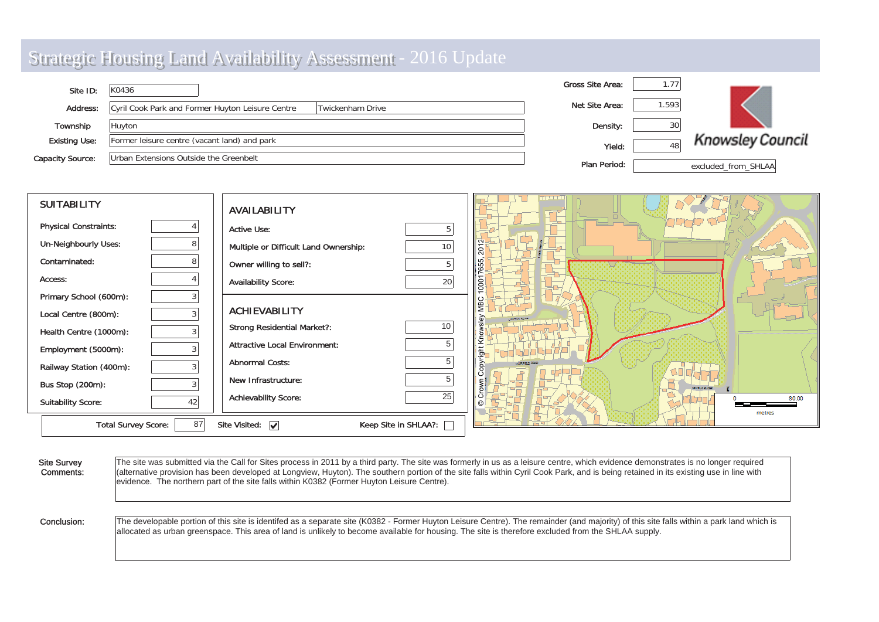|                         | <b>Strategic Housing Land Availability Assessment - 2016 Update</b>  |                         |       |                         |
|-------------------------|----------------------------------------------------------------------|-------------------------|-------|-------------------------|
| Site ID:                | K0436                                                                | <b>Gross Site Area:</b> | 1.77  |                         |
| Address:                | Cyril Cook Park and Former Huyton Leisure Centre<br>Twickenham Drive | Net Site Area:          | 1.593 |                         |
| Township                | Huyton                                                               | Density:                | 30    |                         |
| <b>Existing Use:</b>    | Former leisure centre (vacant land) and park                         | Yield:                  | 48    | <b>Knowsley Council</b> |
| <b>Capacity Source:</b> | Urban Extensions Outside the Greenbelt                               | Plan Period:            |       | excluded from SHLAA     |

| <b>SUITABILITY</b>               | <b>AVAILABILITY</b>                                          |                    |
|----------------------------------|--------------------------------------------------------------|--------------------|
| <b>Physical Constraints:</b>     | <b>Active Use:</b>                                           |                    |
| <b>Un-Neighbourly Uses:</b>      | Multiple or Difficult Land Ownership:<br>10 <sup>°</sup>     | lŝ                 |
| Contaminated:                    | Owner willing to sell?:<br>5                                 | 7655               |
| Access:                          | 20<br><b>Availability Score:</b>                             | lg                 |
| Primary School (600m):           |                                                              |                    |
| Local Centre (800m):<br>3        | <b>ACHIEVABILITY</b>                                         |                    |
| Health Centre (1000m):           | 10 <sup>1</sup><br><b>Strong Residential Market?:</b>        |                    |
| Employment (5000m):              | 5<br><b>Attractive Local Environment:</b>                    |                    |
| Railway Station (400m):          | <b>Abnormal Costs:</b>                                       |                    |
| Bus Stop (200m):                 | New Infrastructure:                                          | <b>MARINE CARD</b> |
| <b>Suitability Score:</b><br>42  | 25<br><b>Achievability Score:</b>                            | 80.00<br>metres    |
| 87<br><b>Total Survey Score:</b> | Site Visited: $\boxed{\checkmark}$<br>Keep Site in SHLAA?: [ |                    |

| <b>Site Survey</b><br>Comments: | The site was submitted via the Call for Sites process in 2011 by a third party. The site was formerly in us as a leisure centre, which evidence demonstrates is no longer required<br>(alternative provision has been developed at Longview, Huyton). The southern portion of the site falls within Cyril Cook Park, and is being retained in its existing use in line with<br>evidence. The northern part of the site falls within K0382 (Former Huyton Leisure Centre). |
|---------------------------------|---------------------------------------------------------------------------------------------------------------------------------------------------------------------------------------------------------------------------------------------------------------------------------------------------------------------------------------------------------------------------------------------------------------------------------------------------------------------------|
| Conclusion:                     | The developable portion of this site is identifed as a separate site (K0382 - Former Huyton Leisure Centre). The remainder (and majority) of this site falls within a park land which is<br>allocated as urban greenspace. This area of land is unlikely to become available for housing. The site is therefore excluded from the SHLAA supply.                                                                                                                           |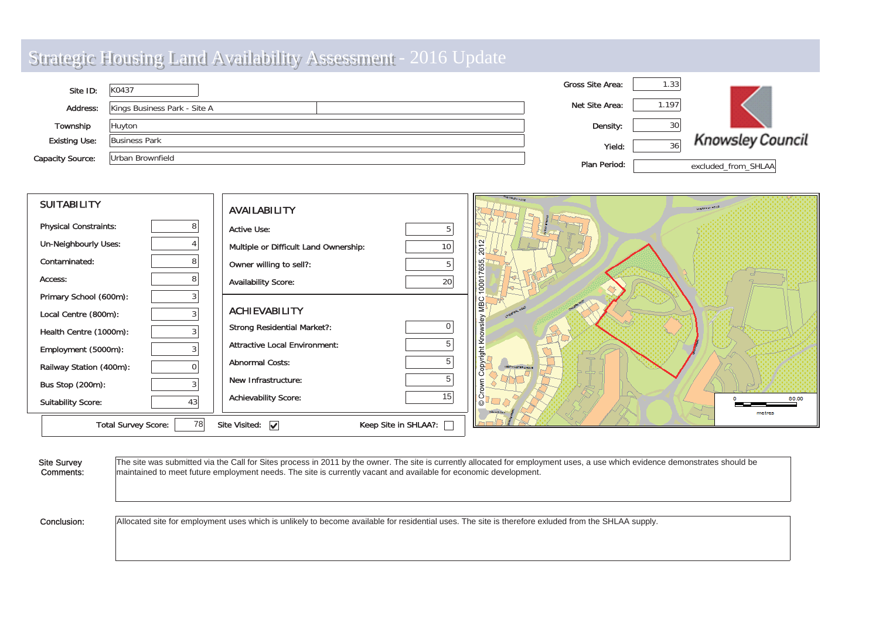| Site ID:                | K0437                        | <b>Gross Site Area:</b> | 1.33  |                         |
|-------------------------|------------------------------|-------------------------|-------|-------------------------|
| Address:                | Kings Business Park - Site A | Net Site Area:          | 1.197 |                         |
| Township                | Huyton                       | Density:                |       |                         |
| <b>Existing Use:</b>    | <b>Business Park</b>         | Yield:                  | 36    | <b>Knowsley Council</b> |
| <b>Capacity Source:</b> | Urban Brownfield             | Plan Period:            |       | excluded_from_SHLAA     |

| <b>SUITABILITY</b>           |    | <b>AVAILABILITY</b>                   |                      | <b>MORDLEY LAND</b>       | <b>UVERFORD KOAP</b> |
|------------------------------|----|---------------------------------------|----------------------|---------------------------|----------------------|
| <b>Physical Constraints:</b> |    | <b>Active Use:</b>                    |                      |                           |                      |
| <b>Un-Neighbourly Uses:</b>  |    | Multiple or Difficult Land Ownership: | 10                   | 2012                      |                      |
| Contaminated:                |    | Owner willing to sell?:               |                      |                           |                      |
| Access:                      |    | <b>Availability Score:</b>            | 20                   | 100017655,                |                      |
| Primary School (600m):       |    |                                       |                      | <b>NBC</b>                |                      |
| Local Centre (800m):         |    | <b>ACHIEVABILITY</b>                  |                      |                           |                      |
| Health Centre (1000m):       |    | <b>Strong Residential Market?:</b>    |                      |                           |                      |
| Employment (5000m):          |    | <b>Attractive Local Environment:</b>  | 5                    | opyright Knowsley         |                      |
| Railway Station (400m):      |    | <b>Abnormal Costs:</b>                | 5                    | <b>NEAT MINETER CROWN</b> |                      |
| Bus Stop (200m):             |    | New Infrastructure:                   | 5                    |                           |                      |
| <b>Suitability Score:</b>    | 43 | <b>Achievability Score:</b>           | 15                   |                           | 80.00<br>metres      |
| <b>Total Survey Score:</b>   | 78 | Site Visited: $\boxed{\checkmark}$    | Keep Site in SHLAA?: |                           |                      |

| <b>Site Survey</b> | The site was submitted via the Call for Sites process in 2011 by the owner. The site is currently allocated for employment uses, a use which evidence demonstrates should be |
|--------------------|------------------------------------------------------------------------------------------------------------------------------------------------------------------------------|
| Comments:          | maintained to meet future employment needs. The site is currently vacant and available for economic development.                                                             |
| Conclusion:        | Allocated site for employment uses which is unlikely to become available for residential uses. The site is therefore exluded from the SHLAA supply.                          |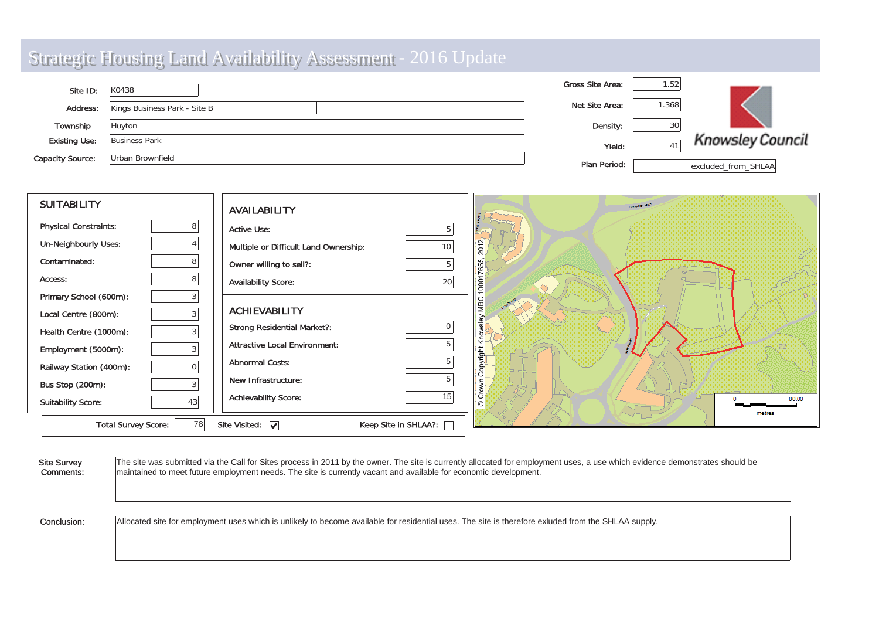| Site ID:                | K0438                        | Gross Site Area: | 1.52 |                         |
|-------------------------|------------------------------|------------------|------|-------------------------|
| Address:                | Kings Business Park - Site B | Net Site Area:   | .368 |                         |
| Township                | Huyton                       | Density:         |      |                         |
| <b>Existing Use:</b>    | <b>Business Park</b>         | Yield:           | 41   | <b>Knowsley Council</b> |
| <b>Capacity Source:</b> | Urban Brownfield             | Plan Period:     |      | excluded from SHLAA     |

| <b>SUITABILITY</b>           |    | <b>AVAILABILITY</b>                   |                        | <b>LIVERADES KOAP</b> |
|------------------------------|----|---------------------------------------|------------------------|-----------------------|
| <b>Physical Constraints:</b> | 8  | <b>Active Use:</b>                    |                        |                       |
| <b>Un-Neighbourly Uses:</b>  |    | Multiple or Difficult Land Ownership: | 10 <sub>1</sub>        | 2012                  |
| Contaminated:                |    | Owner willing to sell?:               |                        |                       |
| Access:                      | 8  | <b>Availability Score:</b>            | 20                     | $\frac{8}{2}$         |
| Primary School (600m):       |    |                                       |                        |                       |
| Local Centre (800m):         |    | <b>ACHIEVABILITY</b>                  |                        | le                    |
| Health Centre (1000m):       |    | <b>Strong Residential Market?:</b>    | 0                      |                       |
| Employment (5000m):          | 3  | <b>Attractive Local Environment:</b>  |                        | ⊻                     |
| Railway Station (400m):      |    | <b>Abnormal Costs:</b>                | 5                      | opyright              |
| Bus Stop (200m):             |    | New Infrastructure:                   | 5                      |                       |
| <b>Suitability Score:</b>    | 43 | <b>Achievability Score:</b>           | 15                     | 80.00<br>metres       |
| <b>Total Survey Score:</b>   | 78 | Site Visited: $\boxed{\checkmark}$    | Keep Site in SHLAA?: [ |                       |

| <b>Site Survey</b> | The site was submitted via the Call for Sites process in 2011 by the owner. The site is currently allocated for employment uses, a use which evidence demonstrates should be |
|--------------------|------------------------------------------------------------------------------------------------------------------------------------------------------------------------------|
| Comments:          | maintained to meet future employment needs. The site is currently vacant and available for economic development.                                                             |
| Conclusion:        | Allocated site for employment uses which is unlikely to become available for residential uses. The site is therefore exluded from the SHLAA supply.                          |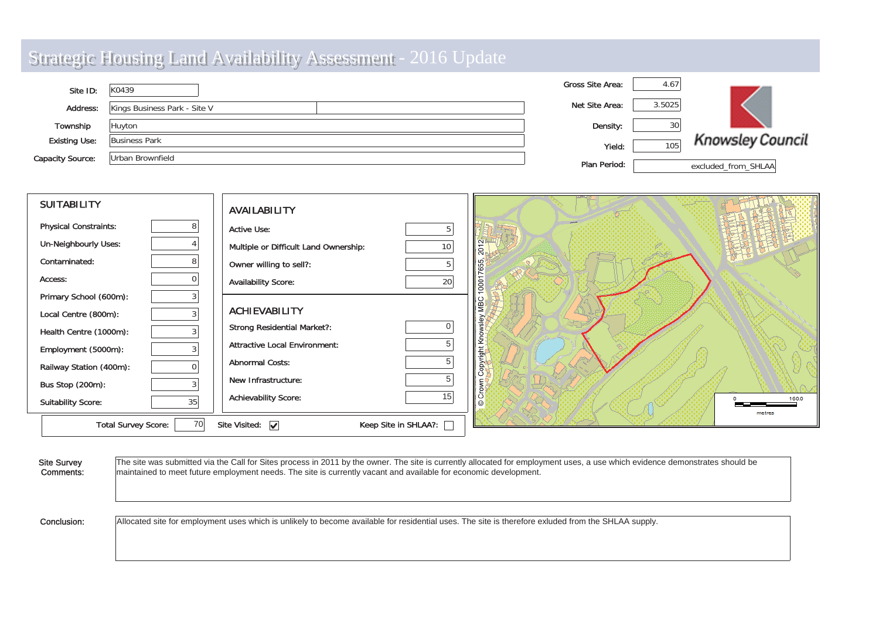| Site ID:                | K0439                        | <b>Gross Site Area:</b> | 4.67   |                         |
|-------------------------|------------------------------|-------------------------|--------|-------------------------|
| <b>Address:</b>         | Kings Business Park - Site V | Net Site Area:          | 3.5025 |                         |
| Township                | Huyton                       | Density:                | 30     |                         |
| <b>Existing Use:</b>    | <b>Business Park</b>         | Yield:                  | 105    | <b>Knowsley Council</b> |
| <b>Capacity Source:</b> | Urban Brownfield             | Plan Period:            |        | excluded from SHLAA     |

| <b>SUITABILITY</b>               | <b>AVAILABILITY</b>                                             |                  |
|----------------------------------|-----------------------------------------------------------------|------------------|
| <b>Physical Constraints:</b>     | <b>Active Use:</b><br>5                                         |                  |
| <b>Un-Neighbourly Uses:</b>      | Multiple or Difficult Land Ownership:<br>10 <sup>1</sup>        | $\overline{201}$ |
| Contaminated:                    | Owner willing to sell?:<br>5                                    |                  |
| Access:                          | 20<br><b>Availability Score:</b>                                | lg               |
| Primary School (600m):           |                                                                 |                  |
| Local Centre (800m):             | <b>ACHIEVABILITY</b>                                            |                  |
| Health Centre (1000m):           | <b>Strong Residential Market?:</b>                              |                  |
| Employment (5000m):              | 5<br><b>Attractive Local Environment:</b>                       |                  |
| Railway Station (400m):          | 5<br><b>Abnormal Costs:</b>                                     |                  |
| Bus Stop (200m):                 | New Infrastructure:                                             |                  |
| 35<br><b>Suitability Score:</b>  | 15 <sub>1</sub><br><b>Achievability Score:</b>                  | 160.0<br>metres  |
| 70<br><b>Total Survey Score:</b> | Keep Site in SHLAA?: [<br>Site Visited: $\overline{\mathbf{v}}$ |                  |

| <b>Site Survey</b> | The site was submitted via the Call for Sites process in 2011 by the owner. The site is currently allocated for employment uses, a use which evidence demonstrates should be |
|--------------------|------------------------------------------------------------------------------------------------------------------------------------------------------------------------------|
| Comments:          | maintained to meet future employment needs. The site is currently vacant and available for economic development.                                                             |
| Conclusion:        | Allocated site for employment uses which is unlikely to become available for residential uses. The site is therefore exluded from the SHLAA supply.                          |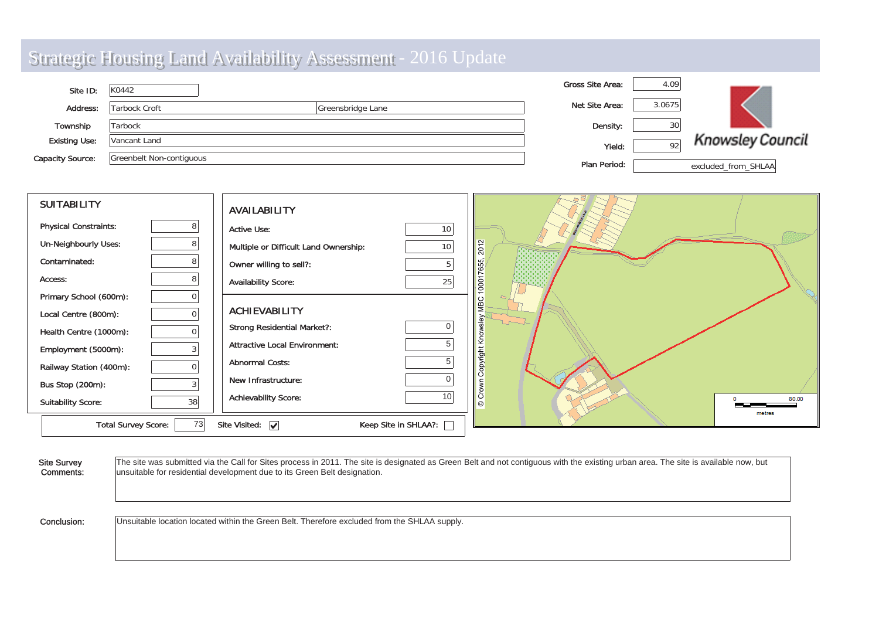| Site ID:                | K0442                    |                   | <b>Gross Site Area:</b> | 4.09   |                         |
|-------------------------|--------------------------|-------------------|-------------------------|--------|-------------------------|
| Address:                | Tarbock Croft            | Greensbridge Lane | Net Site Area:          | 3.0675 |                         |
| Township                | Tarbock                  |                   | Density:                | 30     |                         |
| <b>Existing Use:</b>    | Vancant Land             |                   | Yield:                  | 92     | <b>Knowsley Council</b> |
| <b>Capacity Source:</b> | Greenbelt Non-contiguous |                   | Plan Period:            |        | excluded from SHLAA     |

| <b>SUITABILITY</b>           |          | <b>AVAILABILITY</b>                   |                      |                   |                 |
|------------------------------|----------|---------------------------------------|----------------------|-------------------|-----------------|
| <b>Physical Constraints:</b> |          | <b>Active Use:</b>                    | 10 <sup>1</sup>      |                   |                 |
| <b>Un-Neighbourly Uses:</b>  |          | Multiple or Difficult Land Ownership: | $10\,$               | 2012              |                 |
| Contaminated:                | 8        | Owner willing to sell?:               | 5                    | 7655              |                 |
| Access:                      | 8        | <b>Availability Score:</b>            | 25                   | $\overline{0001}$ |                 |
| Primary School (600m):       |          |                                       |                      |                   |                 |
| Local Centre (800m):         |          | <b>ACHIEVABILITY</b>                  |                      |                   |                 |
| Health Centre (1000m):       | $\Omega$ | <b>Strong Residential Market?:</b>    |                      |                   |                 |
| Employment (5000m):          |          | <b>Attractive Local Environment:</b>  | 5                    | right             |                 |
| Railway Station (400m):      |          | <b>Abnormal Costs:</b>                |                      | δp                |                 |
| Bus Stop (200m):             |          | New Infrastructure:                   |                      |                   |                 |
| <b>Suitability Score:</b>    | 38       | <b>Achievability Score:</b>           | 10                   | lδ                | 80.00<br>metres |
| <b>Total Survey Score:</b>   | 73       | Site Visited: $\overline{\mathbf{v}}$ | Keep Site in SHLAA?: |                   |                 |

| <b>Site Survey</b> | The site was submitted via the Call for Sites process in 2011. The site is designated as Green Belt and not contiguous with the existing urban area. The site is available now, but |
|--------------------|-------------------------------------------------------------------------------------------------------------------------------------------------------------------------------------|
| Comments:          | unsuitable for residential development due to its Green Belt designation.                                                                                                           |
| Conclusion:        | Unsuitable location located within the Green Belt. Therefore excluded from the SHLAA supply.                                                                                        |